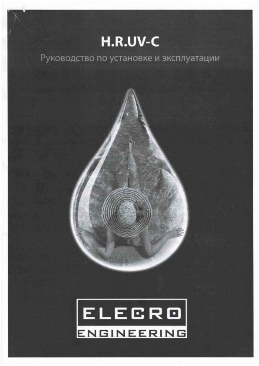# H.R.UV-C

## Руководство по установке и эксплуатации

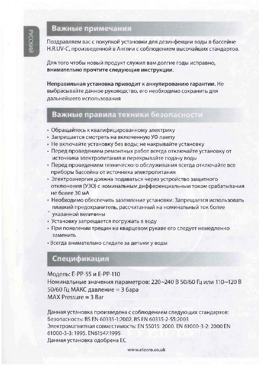## Важные примечания

Поздравляем вас с покупкой установки для дезинфекции воды в бассейне H.R.UV-C, произведенной в Англии с соблюдением высочайших стандартов.

Для того чтобы новый продукт служил вам долгие годы исправно, внимательно прочтите следующие инструкции.

Неправильная установка приводит к аннулированию гарантии. Не выбрасывайте данное руководство, его необходимо сохранить для дальнейшего использования

### Важные правила техники безопасности

- Обращайтесь к квалифицированному электрику
- Запрещается смотреть на включенную УФ лампу
- Не включайте установку без воды; не накрывайте установку
- Перед проведением ремонтных работ всегда отключайте установку от источника электропитания и перекрывайте подачу воды
- Перед проведением технического обслуживания всегда отключайте все приборы бассейна от источника электропитания
- Электроэнергия должна подаваться через устройство защитного отключения (УЗО) с номинальным дифференциальным током срабатывания не более 30 мА
- Необходимо обеспечить заземление установки. Запрещается использовать плавкий предохранитель, рассчитанный на номинальный ток более
- указанной величины
- Установку запрещается погружать в воду
- При появлении трещин на кварцевом рукаве его следует немедленно заменить
- Всегда внимательно следите за детьми у воды

## Спецификация

Модель: Е-РР-55 и Е-РР-110 Номинальные значения параметров: 220~240 В 50/60 Гц или 110~120 В 50/60 Гц МАКС давление = 3 бара MAX Pressure  $=$  3 Bar

Данная установка произведена с соблюдением следующих стандартов: Безопасность: BS EN 60335-1:2002. BS EN 60335-2-55:2003 Электромагнитная совместимость: EN 55015: 2000. EN 61000-3-2: 2000 EN 61000-3-3: 1995. EN61547:1995 Данная установка одобрена ЕС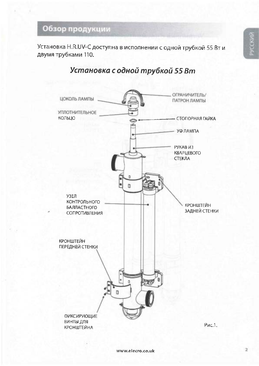## Обзор продукции

Установка H.R.UV-С доступна в исполнении с одной трубкой 55 Вт и двумя трубками 110.

## Установка с одной трубкой 55 Вт

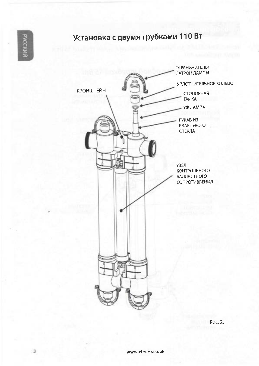## Установка с двумя трубками 110 Вт



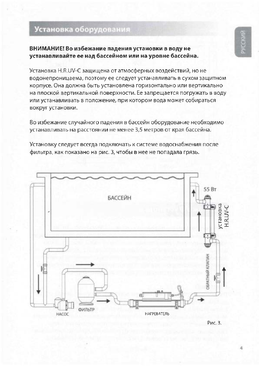## Установка оборудования

### ВНИМАНИЕ! Во избежание падения установки в воду не устанавливайте ее над бассейном или на уровне бассейна.

Установка H.R.UV-С защищена от атмосферных воздействий, но не водонепроницаема, поэтому ее следует устанавливать в сухом защитном корпусе. Она должна быть установлена горизонтально или вертикально на плоской вертикальной поверхности. Ее запрещается погружать в воду или устанавливать в положение, при котором вода может собираться вокруг установки.

Во избежание случайного падения в бассейн оборудование необходимо устанавливать на расстоянии не менее 3,5 метров от края бассейна.

Установку следует всегда подключать к системе водоснабжения после фильтра, как показано на рис. 3, чтобы в нее не попадала грязь.

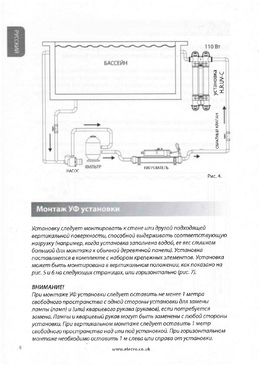

## Монтаж УФ установки

Установку следует монтировать к стене или другой подходящей вертикальной поверхности, способной выдерживать соответствующую нагрузку (например, когда установка заполнена водой, ее вес слишком большой для монтажа к обычной деревянной панели). Установка поставляется в комплекте с набором крепежных элементов. Установка может быть монтирована в вертикальном положении, как показано на рис. 5 и 6 на следующих страницах, или горизонтально (рис. 7).

#### ВНИМАНИЕ!

При монтаже УФ установки следует оставить не менее 1 метра свободного пространства с одной стороны установки для замены лампы (ламп) и (или) кварцевого рукава (рукавов), если потребуется замена. Лампы и кварцевый рукав могут быть заменены с любой стороны установки. При вертикальном монтаже следует оставить 1 метр свободного пространства над или под установкой. При горизонтальном монтаже необходимо оставить 1 м слева или справа от установки.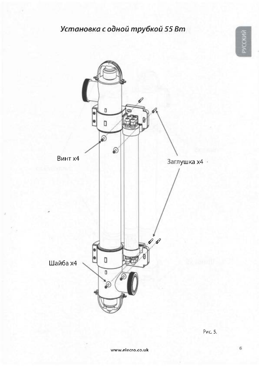## Установка с одной трубкой 55 Вт





Рис. 5.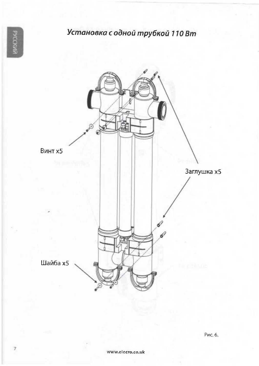**PYCCKV** 

## Установка с одной трубкой 110 Вт



 $\overline{\jmath}$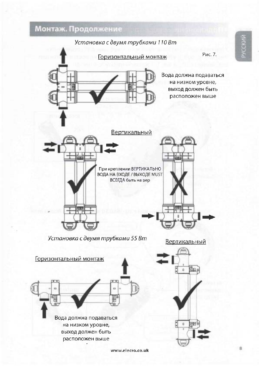Монтаж. Продолжение



www.elecro.co.uk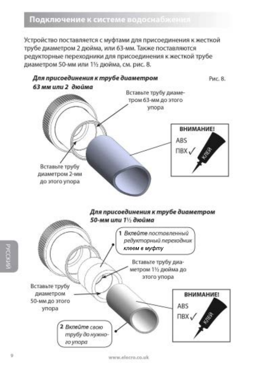#### Подключение к системе водоснабжения

Устройство поставляется с муфтами для присоединения к жесткой трубе диаметром 2 дюйма, или 63-мм. Также поставляются редукторные переходники для присоединения к жесткой трубе диаметром 50-мм или 11/2 дюйма, см. рис. 8.

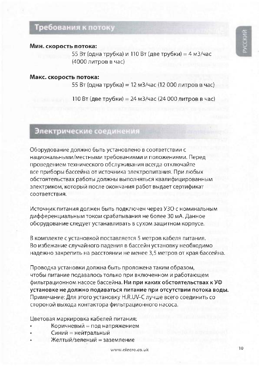## Требования к потоку

#### Мин. скорость потока:

55 Вт (одна трубка) и 110 Вт (две трубки) = 4 м3/час (4000 литров в час)

#### Макс. скорость потока:

55 Вт (одна трубка) = 12 м3/час (12 000 литров в час)

110 Вт (две трубки) = 24 м3/час (24 000 литров в час)

## Электрические соединения

Оборудование должно быть установлено в соответствии с национальными/местными требованиями и положениями. Перед проведением технического обслуживания всегда отключайте все приборы бассейна от источника электропитания. При любых обстоятельствах работы должны выполняться квалифицированным электриком, который после окончания работ выдает сертификат соответствия.

Источник питания должен быть подключен через УЗО с номинальным дифференциальным током срабатывания не более 30 мА. Данное оборудование следует устанавливать в сухом защитном корпусе.

В комплекте с установкой поставляется 5 метров кабеля питания. Во избежание случайного падения в бассейн установку необходимо надежно закрепить на расстоянии не менее 3,5 метров от края бассейна.

Проводка установки должна быть проложена таким образом, чтобы питание подавалось только при включенном и работающем фильтрационном насосе бассейна. Ни при каких обстоятельствах к УФ установке не должно подаваться питание при отсутствии потока воды. Примечание: Для этого установку H.R.UV-С лучше всего соединить со стороной выхода контактора фильтрационного насоса.

Цветовая маркировка кабелей питания:

- Коричневый = под напряжением
- Синий = нейтральный
- Желтый/зеленый = заземление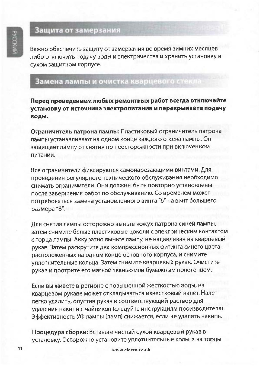### Защита от замерзания

Важно обеспечить защиту от замерзания во время зимних месяцев либо отключить подачу воды и электричества и хранить установку в сухом защитном корпусе.

### Замена лампы и очистка кварцевого стекла

Перед проведением любых ремонтных работ всегда отключайте установку от источника электропитания и перекрывайте подачу воды.

Ограничитель патрона лампы: Пластиковый ограничитель патрона лампы устанавливают на одном конце каждого отсека лампы. Он защищает лампу от снятия по неосторожности при включенном питании.

Все ограничители фиксируются самонарезающими винтами. Для проведения регулярного технического обслуживания необходимо снимать ограничители. Они должны быть повторно установлены после завершения работ по обслуживанию. Со временем может потребоваться замена установленного винта "6" на винт большего размера "8".

Для снятия лампы осторожно выньте кожух патрона синей лампы, затем снимите белые пластиковые цоколи с электрическим контактом с торца лампы. Аккуратно выньте лампу, не надавливая на кварцевый рукав. Затем раскрутите два компрессионных фитинга синего цвета, расположенных на одном конце основного корпуса, и снимите уплотнительные кольца. Затем снимите кварцевый рукав. Очистите рукав и протрите его мягкой тканью или бумажным полотенцем.

Если вы живете в регионе с повышенной жесткостью воды, на кварцевом рукаве может откладываться известковый налет. Налет легко удалить, опустив рукав в соответствующий раствор для удаления накипи с чайников (следуйте инструкциям производителя). Эффективность УФ лампы (ламп) снижается, если не удалять накипь.

Процедура сборки: Вставьте чистый сухой кварцевый рукав в установку. Осторожно установите уплотнительные кольца на торцы